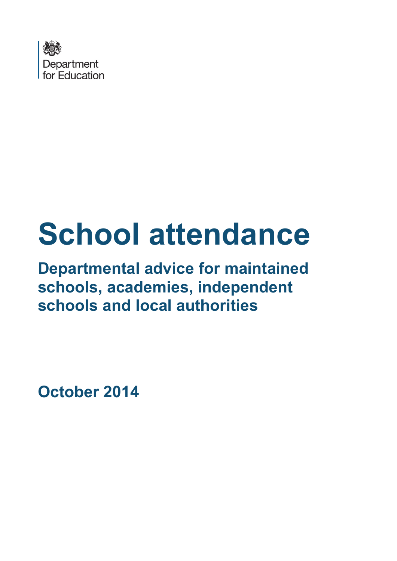

# **School attendance**

# **Departmental advice for maintained schools, academies, independent schools and local authorities**

**October 2014**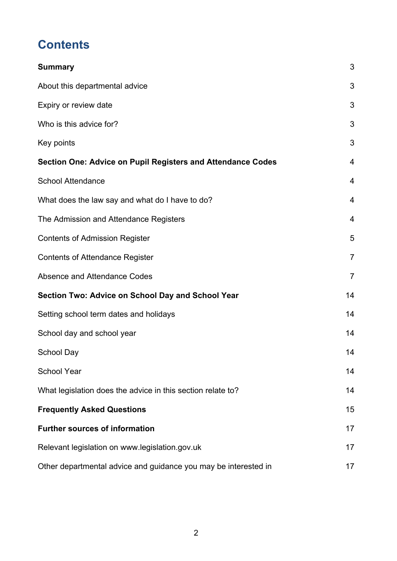# **Contents**

| <b>Summary</b>                                                     | 3              |
|--------------------------------------------------------------------|----------------|
| About this departmental advice                                     | 3              |
| Expiry or review date                                              | 3              |
| Who is this advice for?                                            | 3              |
| Key points                                                         | 3              |
| <b>Section One: Advice on Pupil Registers and Attendance Codes</b> | 4              |
| <b>School Attendance</b>                                           | 4              |
| What does the law say and what do I have to do?                    | 4              |
| The Admission and Attendance Registers                             | $\overline{4}$ |
| <b>Contents of Admission Register</b>                              | 5              |
| <b>Contents of Attendance Register</b>                             | $\overline{7}$ |
| Absence and Attendance Codes                                       | $\overline{7}$ |
| Section Two: Advice on School Day and School Year                  | 14             |
| Setting school term dates and holidays                             | 14             |
| School day and school year                                         | 14             |
| School Day                                                         | 14             |
| <b>School Year</b>                                                 | 14             |
| What legislation does the advice in this section relate to?        | 14             |
| <b>Frequently Asked Questions</b>                                  | 15             |
| <b>Further sources of information</b>                              | 17             |
| Relevant legislation on www.legislation.gov.uk                     | 17             |
| Other departmental advice and guidance you may be interested in    | 17             |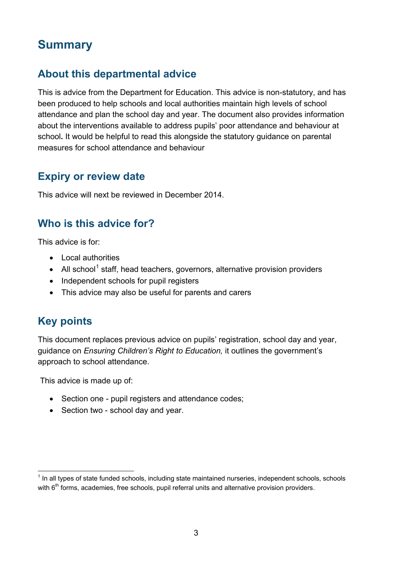## <span id="page-2-0"></span>**Summary**

## <span id="page-2-1"></span>**About this departmental advice**

This is advice from the Department for Education. This advice is non-statutory, and has been produced to help schools and local authorities maintain high levels of school attendance and plan the school day and year. The document also provides information about the interventions available to address pupils' poor attendance and behaviour at school**.** It would be helpful to read this alongside the statutory guidance on parental measures for school attendance and behaviour

## <span id="page-2-2"></span>**Expiry or review date**

This advice will next be reviewed in December 2014.

## <span id="page-2-3"></span>**Who is this advice for?**

This advice is for:

- Local authorities
- All school<sup>[1](#page-2-5)</sup> staff, head teachers, governors, alternative provision providers
- Independent schools for pupil registers
- This advice may also be useful for parents and carers

## <span id="page-2-4"></span>**Key points**

This document replaces previous advice on pupils' registration, school day and year, guidance on *Ensuring Children's Right to Education,* it outlines the government's approach to school attendance.

This advice is made up of:

- Section one pupil registers and attendance codes:
- Section two school day and year.

<span id="page-2-5"></span> $<sup>1</sup>$  In all types of state funded schools, including state maintained nurseries, independent schools, schools</sup> with 6<sup>th</sup> forms, academies, free schools, pupil referral units and alternative provision providers.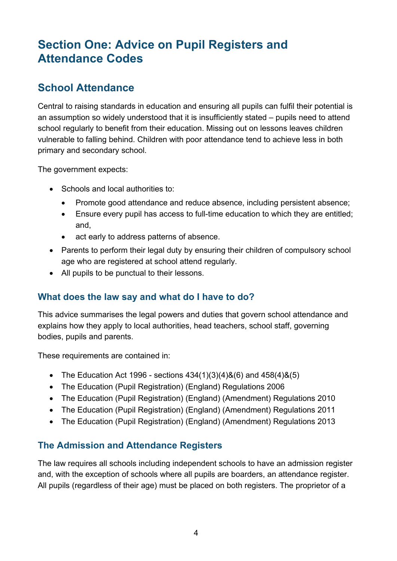# <span id="page-3-0"></span>**Section One: Advice on Pupil Registers and Attendance Codes**

## <span id="page-3-1"></span>**School Attendance**

Central to raising standards in education and ensuring all pupils can fulfil their potential is an assumption so widely understood that it is insufficiently stated – pupils need to attend school regularly to benefit from their education. Missing out on lessons leaves children vulnerable to falling behind. Children with poor attendance tend to achieve less in both primary and secondary school.

The government expects:

- Schools and local authorities to:
	- Promote good attendance and reduce absence, including persistent absence;
	- Ensure every pupil has access to full-time education to which they are entitled; and,
	- act early to address patterns of absence.
- Parents to perform their legal duty by ensuring their children of compulsory school age who are registered at school attend regularly.
- All pupils to be punctual to their lessons.

#### <span id="page-3-2"></span>**What does the law say and what do I have to do?**

This advice summarises the legal powers and duties that govern school attendance and explains how they apply to local authorities, head teachers, school staff, governing bodies, pupils and parents.

These requirements are contained in:

- The Education Act 1996 sections  $434(1)(3)(4)8(6)$  and  $458(4)8(5)$
- The Education (Pupil Registration) (England) Regulations 2006
- The Education (Pupil Registration) (England) (Amendment) Regulations 2010
- The Education (Pupil Registration) (England) (Amendment) Regulations 2011
- The Education (Pupil Registration) (England) (Amendment) Regulations 2013

#### <span id="page-3-3"></span>**The Admission and Attendance Registers**

The law requires all schools including independent schools to have an admission register and, with the exception of schools where all pupils are boarders, an attendance register. All pupils (regardless of their age) must be placed on both registers. The proprietor of a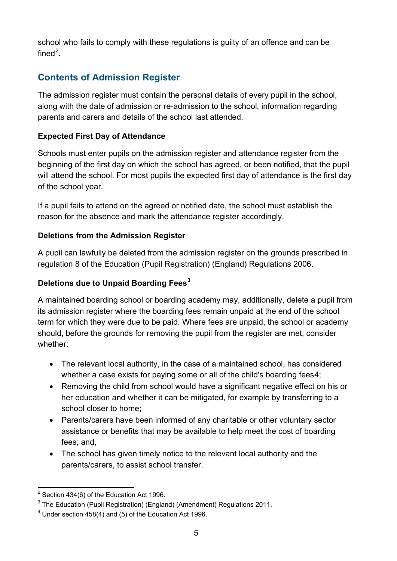school who fails to comply with these regulations is guilty of an offence and can be fined<sup>[2](#page-4-1)</sup>.

## <span id="page-4-0"></span>**Contents of Admission Register**

The admission register must contain the personal details of every pupil in the school, along with the date of admission or re-admission to the school, information regarding parents and carers and details of the school last attended.

#### **Expected First Day of Attendance**

Schools must enter pupils on the admission register and attendance register from the beginning of the first day on which the school has agreed, or been notified, that the pupil will attend the school. For most pupils the expected first day of attendance is the first day of the school year.

If a pupil fails to attend on the agreed or notified date, the school must establish the reason for the absence and mark the attendance register accordingly.

#### **Deletions from the Admission Register**

A pupil can lawfully be deleted from the admission register on the grounds prescribed in regulation 8 of the Education (Pupil Registration) (England) Regulations 2006.

#### **Deletions due to Unpaid Boarding Fees[3](#page-4-2)**

A maintained boarding school or boarding academy may, additionally, delete a pupil from its admission register where the boarding fees remain unpaid at the end of the school term for which they were due to be paid. Where fees are unpaid, the school or academy should, before the grounds for removing the pupil from the register are met, consider whether:

- The relevant local authority, in the case of a maintained school, has considered whether a case exists for paying some or all of the child's boarding fees[4](#page-4-3);
- Removing the child from school would have a significant negative effect on his or her education and whether it can be mitigated, for example by transferring to a school closer to home;
- Parents/carers have been informed of any charitable or other voluntary sector assistance or benefits that may be available to help meet the cost of boarding fees; and,
- The school has given timely notice to the relevant local authority and the parents/carers, to assist school transfer.

<span id="page-4-1"></span> $2$  Section 434(6) of the Education Act 1996.

<span id="page-4-2"></span> $3$  The Education (Pupil Registration) (England) (Amendment) Regulations 2011.

<span id="page-4-3"></span><sup>4</sup> Under section 458(4) and (5) of the Education Act 1996.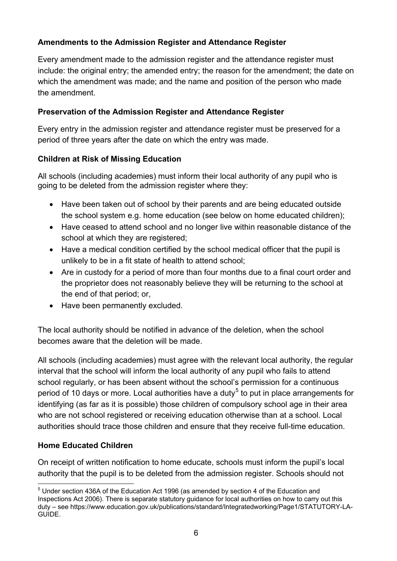#### **Amendments to the Admission Register and Attendance Register**

Every amendment made to the admission register and the attendance register must include: the original entry; the amended entry; the reason for the amendment; the date on which the amendment was made; and the name and position of the person who made the amendment.

#### **Preservation of the Admission Register and Attendance Register**

Every entry in the admission register and attendance register must be preserved for a period of three years after the date on which the entry was made.

#### **Children at Risk of Missing Education**

All schools (including academies) must inform their local authority of any pupil who is going to be deleted from the admission register where they:

- Have been taken out of school by their parents and are being educated outside the school system e.g. home education (see below on home educated children);
- Have ceased to attend school and no longer live within reasonable distance of the school at which they are registered;
- Have a medical condition certified by the school medical officer that the pupil is unlikely to be in a fit state of health to attend school;
- Are in custody for a period of more than four months due to a final court order and the proprietor does not reasonably believe they will be returning to the school at the end of that period; or,
- Have been permanently excluded.

The local authority should be notified in advance of the deletion, when the school becomes aware that the deletion will be made.

All schools (including academies) must agree with the relevant local authority, the regular interval that the school will inform the local authority of any pupil who fails to attend school regularly, or has been absent without the school's permission for a continuous period of 10 days or more. Local authorities have a duty<sup>[5](#page-5-0)</sup> to put in place arrangements for identifying (as far as it is possible) those children of compulsory school age in their area who are not school registered or receiving education otherwise than at a school. Local authorities should trace those children and ensure that they receive full-time education.

#### **Home Educated Children**

On receipt of written notification to home educate, schools must inform the pupil's local authority that the pupil is to be deleted from the admission register. Schools should not

<span id="page-5-0"></span> $<sup>5</sup>$  Under section 436A of the Education Act 1996 (as amended by section 4 of the Education and</sup> Inspections Act 2006). There is separate statutory guidance for local authorities on how to carry out this duty – see https://www.education.gov.uk/publications/standard/Integratedworking/Page1/STATUTORY-LA-GUIDE.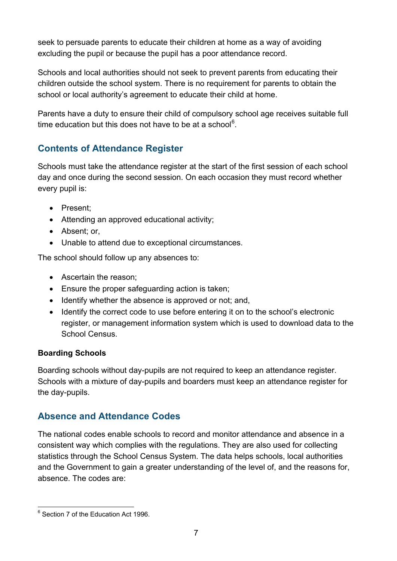seek to persuade parents to educate their children at home as a way of avoiding excluding the pupil or because the pupil has a poor attendance record.

Schools and local authorities should not seek to prevent parents from educating their children outside the school system. There is no requirement for parents to obtain the school or local authority's agreement to educate their child at home.

Parents have a duty to ensure their child of compulsory school age receives suitable full time education but this does not have to be at a school $^6$  $^6$ .

### <span id="page-6-0"></span>**Contents of Attendance Register**

Schools must take the attendance register at the start of the first session of each school day and once during the second session. On each occasion they must record whether every pupil is:

- Present;
- Attending an approved educational activity;
- Absent; or,
- Unable to attend due to exceptional circumstances.

The school should follow up any absences to:

- Ascertain the reason;
- Ensure the proper safeguarding action is taken;
- Identify whether the absence is approved or not; and,
- Identify the correct code to use before entering it on to the school's electronic register, or management information system which is used to download data to the School Census.

#### **Boarding Schools**

Boarding schools without day-pupils are not required to keep an attendance register. Schools with a mixture of day-pupils and boarders must keep an attendance register for the day-pupils.

#### <span id="page-6-1"></span>**Absence and Attendance Codes**

The national codes enable schools to record and monitor attendance and absence in a consistent way which complies with the regulations. They are also used for collecting statistics through the School Census System. The data helps schools, local authorities and the Government to gain a greater understanding of the level of, and the reasons for, absence. The codes are:

<span id="page-6-2"></span><sup>&</sup>lt;sup>6</sup> Section 7 of the Education Act 1996.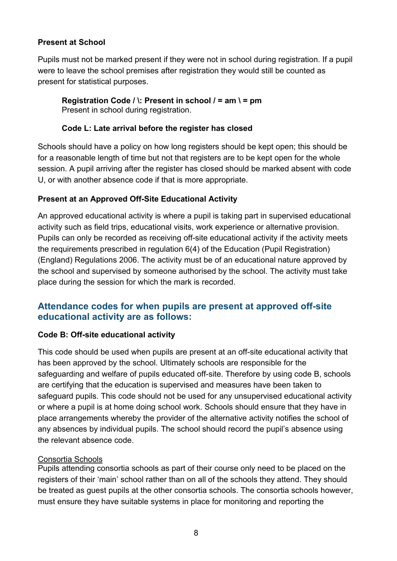#### **Present at School**

Pupils must not be marked present if they were not in school during registration. If a pupil were to leave the school premises after registration they would still be counted as present for statistical purposes.

#### **Registration Code / \: Present in school / = am \ = pm** Present in school during registration.

#### **Code L: Late arrival before the register has closed**

Schools should have a policy on how long registers should be kept open; this should be for a reasonable length of time but not that registers are to be kept open for the whole session. A pupil arriving after the register has closed should be marked absent with code U, or with another absence code if that is more appropriate.

#### **Present at an Approved Off-Site Educational Activity**

An approved educational activity is where a pupil is taking part in supervised educational activity such as field trips, educational visits, work experience or alternative provision. Pupils can only be recorded as receiving off-site educational activity if the activity meets the requirements prescribed in regulation 6(4) of the Education (Pupil Registration) (England) Regulations 2006. The activity must be of an educational nature approved by the school and supervised by someone authorised by the school. The activity must take place during the session for which the mark is recorded.

#### **Attendance codes for when pupils are present at approved off-site educational activity are as follows:**

#### **Code B: Off-site educational activity**

This code should be used when pupils are present at an off-site educational activity that has been approved by the school. Ultimately schools are responsible for the safeguarding and welfare of pupils educated off-site. Therefore by using code B, schools are certifying that the education is supervised and measures have been taken to safeguard pupils. This code should not be used for any unsupervised educational activity or where a pupil is at home doing school work. Schools should ensure that they have in place arrangements whereby the provider of the alternative activity notifies the school of any absences by individual pupils. The school should record the pupil's absence using the relevant absence code.

#### Consortia Schools

Pupils attending consortia schools as part of their course only need to be placed on the registers of their 'main' school rather than on all of the schools they attend. They should be treated as guest pupils at the other consortia schools. The consortia schools however, must ensure they have suitable systems in place for monitoring and reporting the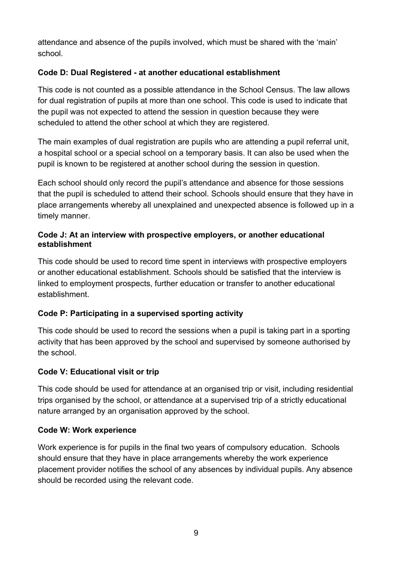attendance and absence of the pupils involved, which must be shared with the 'main' school.

#### **Code D: Dual Registered - at another educational establishment**

This code is not counted as a possible attendance in the School Census. The law allows for dual registration of pupils at more than one school. This code is used to indicate that the pupil was not expected to attend the session in question because they were scheduled to attend the other school at which they are registered.

The main examples of dual registration are pupils who are attending a pupil referral unit, a hospital school or a special school on a temporary basis. It can also be used when the pupil is known to be registered at another school during the session in question.

Each school should only record the pupil's attendance and absence for those sessions that the pupil is scheduled to attend their school. Schools should ensure that they have in place arrangements whereby all unexplained and unexpected absence is followed up in a timely manner.

#### **Code J: At an interview with prospective employers, or another educational establishment**

This code should be used to record time spent in interviews with prospective employers or another educational establishment. Schools should be satisfied that the interview is linked to employment prospects, further education or transfer to another educational establishment.

#### **Code P: Participating in a supervised sporting activity**

This code should be used to record the sessions when a pupil is taking part in a sporting activity that has been approved by the school and supervised by someone authorised by the school.

#### **Code V: Educational visit or trip**

This code should be used for attendance at an organised trip or visit, including residential trips organised by the school, or attendance at a supervised trip of a strictly educational nature arranged by an organisation approved by the school.

#### **Code W: Work experience**

Work experience is for pupils in the final two years of compulsory education. Schools should ensure that they have in place arrangements whereby the work experience placement provider notifies the school of any absences by individual pupils. Any absence should be recorded using the relevant code.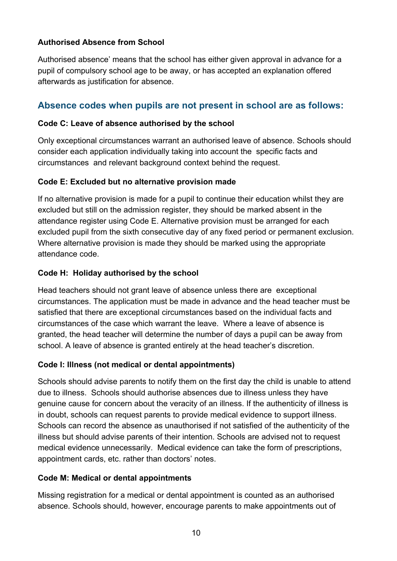#### **Authorised Absence from School**

Authorised absence' means that the school has either given approval in advance for a pupil of compulsory school age to be away, or has accepted an explanation offered afterwards as justification for absence.

#### **Absence codes when pupils are not present in school are as follows:**

#### **Code C: Leave of absence authorised by the school**

Only exceptional circumstances warrant an authorised leave of absence. Schools should consider each application individually taking into account the specific facts and circumstances and relevant background context behind the request.

#### **Code E: Excluded but no alternative provision made**

If no alternative provision is made for a pupil to continue their education whilst they are excluded but still on the admission register, they should be marked absent in the attendance register using Code E. Alternative provision must be arranged for each excluded pupil from the sixth consecutive day of any fixed period or permanent exclusion. Where alternative provision is made they should be marked using the appropriate attendance code.

#### **Code H: Holiday authorised by the school**

Head teachers should not grant leave of absence unless there are exceptional circumstances. The application must be made in advance and the head teacher must be satisfied that there are exceptional circumstances based on the individual facts and circumstances of the case which warrant the leave. Where a leave of absence is granted, the head teacher will determine the number of days a pupil can be away from school. A leave of absence is granted entirely at the head teacher's discretion.

#### **Code I: Illness (not medical or dental appointments)**

Schools should advise parents to notify them on the first day the child is unable to attend due to illness. Schools should authorise absences due to illness unless they have genuine cause for concern about the veracity of an illness. If the authenticity of illness is in doubt, schools can request parents to provide medical evidence to support illness. Schools can record the absence as unauthorised if not satisfied of the authenticity of the illness but should advise parents of their intention. Schools are advised not to request medical evidence unnecessarily. Medical evidence can take the form of prescriptions, appointment cards, etc. rather than doctors' notes.

#### **Code M: Medical or dental appointments**

Missing registration for a medical or dental appointment is counted as an authorised absence. Schools should, however, encourage parents to make appointments out of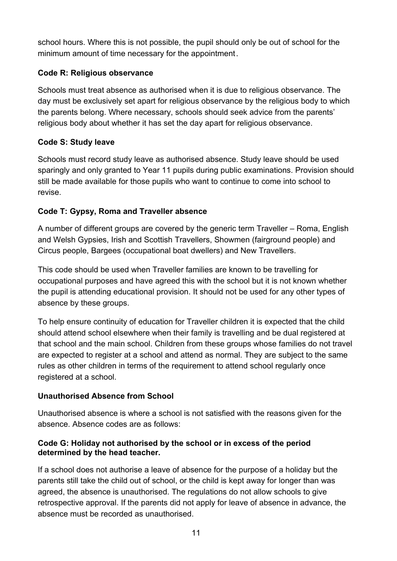school hours. Where this is not possible, the pupil should only be out of school for the minimum amount of time necessary for the appointment.

#### **Code R: Religious observance**

Schools must treat absence as authorised when it is due to religious observance. The day must be exclusively set apart for religious observance by the religious body to which the parents belong. Where necessary, schools should seek advice from the parents' religious body about whether it has set the day apart for religious observance.

#### **Code S: Study leave**

Schools must record study leave as authorised absence. Study leave should be used sparingly and only granted to Year 11 pupils during public examinations. Provision should still be made available for those pupils who want to continue to come into school to revise.

#### **Code T: Gypsy, Roma and Traveller absence**

A number of different groups are covered by the generic term Traveller – Roma, English and Welsh Gypsies, Irish and Scottish Travellers, Showmen (fairground people) and Circus people, Bargees (occupational boat dwellers) and New Travellers.

This code should be used when Traveller families are known to be travelling for occupational purposes and have agreed this with the school but it is not known whether the pupil is attending educational provision. It should not be used for any other types of absence by these groups.

To help ensure continuity of education for Traveller children it is expected that the child should attend school elsewhere when their family is travelling and be dual registered at that school and the main school. Children from these groups whose families do not travel are expected to register at a school and attend as normal. They are subject to the same rules as other children in terms of the requirement to attend school regularly once registered at a school.

#### **Unauthorised Absence from School**

Unauthorised absence is where a school is not satisfied with the reasons given for the absence. Absence codes are as follows:

#### **Code G: Holiday not authorised by the school or in excess of the period determined by the head teacher.**

If a school does not authorise a leave of absence for the purpose of a holiday but the parents still take the child out of school, or the child is kept away for longer than was agreed, the absence is unauthorised. The regulations do not allow schools to give retrospective approval. If the parents did not apply for leave of absence in advance, the absence must be recorded as unauthorised.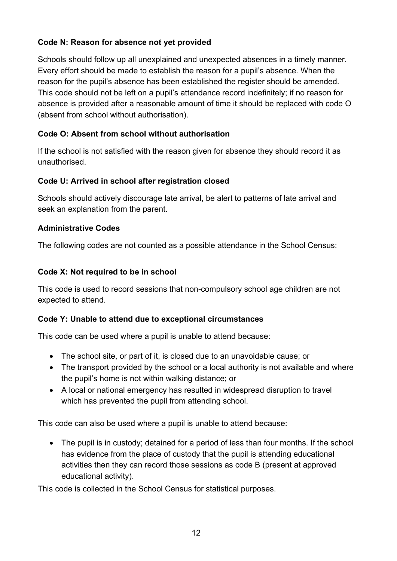#### **Code N: Reason for absence not yet provided**

Schools should follow up all unexplained and unexpected absences in a timely manner. Every effort should be made to establish the reason for a pupil's absence. When the reason for the pupil's absence has been established the register should be amended. This code should not be left on a pupil's attendance record indefinitely; if no reason for absence is provided after a reasonable amount of time it should be replaced with code O (absent from school without authorisation).

#### **Code O: Absent from school without authorisation**

If the school is not satisfied with the reason given for absence they should record it as unauthorised.

#### **Code U: Arrived in school after registration closed**

Schools should actively discourage late arrival, be alert to patterns of late arrival and seek an explanation from the parent.

#### **Administrative Codes**

The following codes are not counted as a possible attendance in the School Census:

#### **Code X: Not required to be in school**

This code is used to record sessions that non-compulsory school age children are not expected to attend.

#### **Code Y: Unable to attend due to exceptional circumstances**

This code can be used where a pupil is unable to attend because:

- The school site, or part of it, is closed due to an unavoidable cause; or
- The transport provided by the school or a local authority is not available and where the pupil's home is not within walking distance; or
- A local or national emergency has resulted in widespread disruption to travel which has prevented the pupil from attending school.

This code can also be used where a pupil is unable to attend because:

• The pupil is in custody; detained for a period of less than four months. If the school has evidence from the place of custody that the pupil is attending educational activities then they can record those sessions as code B (present at approved educational activity).

This code is collected in the School Census for statistical purposes.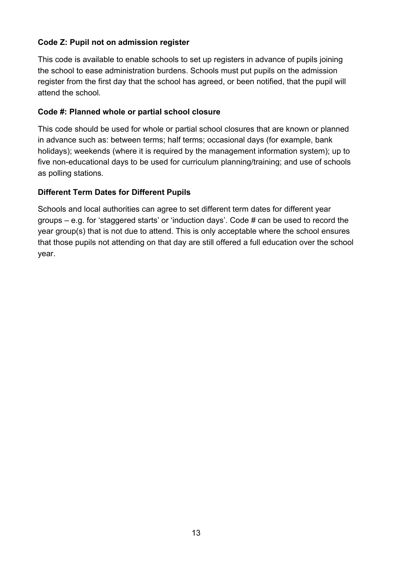#### **Code Z: Pupil not on admission register**

This code is available to enable schools to set up registers in advance of pupils joining the school to ease administration burdens. Schools must put pupils on the admission register from the first day that the school has agreed, or been notified, that the pupil will attend the school*.*

#### **Code #: Planned whole or partial school closure**

This code should be used for whole or partial school closures that are known or planned in advance such as: between terms; half terms; occasional days (for example, bank holidays); weekends (where it is required by the management information system); up to five non-educational days to be used for curriculum planning/training; and use of schools as polling stations.

#### **Different Term Dates for Different Pupils**

Schools and local authorities can agree to set different term dates for different year groups – e.g. for 'staggered starts' or 'induction days'. Code # can be used to record the year group(s) that is not due to attend. This is only acceptable where the school ensures that those pupils not attending on that day are still offered a full education over the school year.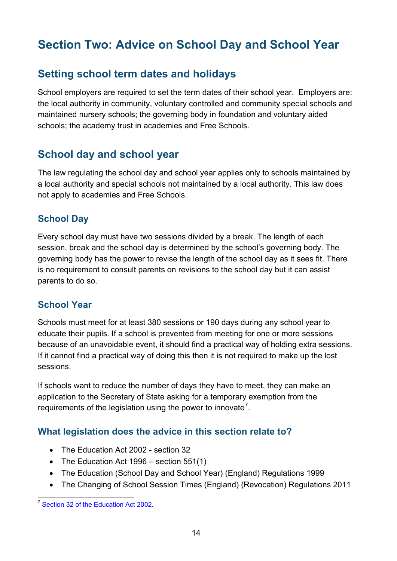# <span id="page-13-0"></span>**Section Two: Advice on School Day and School Year**

## <span id="page-13-1"></span>**Setting school term dates and holidays**

School employers are required to set the term dates of their school year. Employers are: the local authority in community, voluntary controlled and community special schools and maintained nursery schools; the governing body in foundation and voluntary aided schools; the academy trust in academies and Free Schools.

## <span id="page-13-2"></span>**School day and school year**

The law regulating the school day and school year applies only to schools maintained by a local authority and special schools not maintained by a local authority. This law does not apply to academies and Free Schools.

#### <span id="page-13-3"></span>**School Day**

Every school day must have two sessions divided by a break. The length of each session, break and the school day is determined by the school's governing body. The governing body has the power to revise the length of the school day as it sees fit. There is no requirement to consult parents on revisions to the school day but it can assist parents to do so.

#### <span id="page-13-4"></span>**School Year**

Schools must meet for at least 380 sessions or 190 days during any school year to educate their pupils. If a school is prevented from meeting for one or more sessions because of an unavoidable event, it should find a practical way of holding extra sessions. If it cannot find a practical way of doing this then it is not required to make up the lost sessions.

If schools want to reduce the number of days they have to meet, they can make an application to the Secretary of State asking for a temporary exemption from the requirements of the legislation using the power to innovate<sup>[7](#page-13-6)</sup>.

#### <span id="page-13-5"></span>**What legislation does the advice in this section relate to?**

- The Education Act 2002 section 32
- The Education Act 1996 section 551(1)
- The Education (School Day and School Year) (England) Regulations 1999
- The Changing of School Session Times (England) (Revocation) Regulations 2011

<span id="page-13-6"></span><sup>&</sup>lt;sup>7</sup> [Section 32 of the Education Act 2002.](http://webarchive.nationalarchives.gov.uk/20130903192301/http:/education.gov.uk/schools/leadership/schoolperformance/b0014624/power-to-innovate)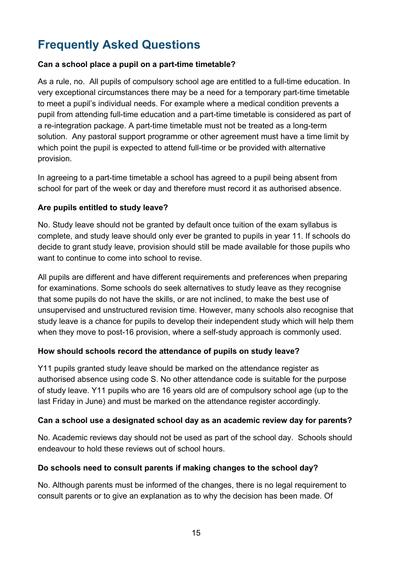# <span id="page-14-0"></span>**Frequently Asked Questions**

#### **Can a school place a pupil on a part-time timetable?**

As a rule, no. All pupils of compulsory school age are entitled to a full-time education. In very exceptional circumstances there may be a need for a temporary part-time timetable to meet a pupil's individual needs. For example where a medical condition prevents a pupil from attending full-time education and a part-time timetable is considered as part of a re-integration package. A part-time timetable must not be treated as a long-term solution. Any pastoral support programme or other agreement must have a time limit by which point the pupil is expected to attend full-time or be provided with alternative provision.

In agreeing to a part-time timetable a school has agreed to a pupil being absent from school for part of the week or day and therefore must record it as authorised absence.

#### **Are pupils entitled to study leave?**

No. Study leave should not be granted by default once tuition of the exam syllabus is complete, and study leave should only ever be granted to pupils in year 11. If schools do decide to grant study leave, provision should still be made available for those pupils who want to continue to come into school to revise.

All pupils are different and have different requirements and preferences when preparing for examinations. Some schools do seek alternatives to study leave as they recognise that some pupils do not have the skills, or are not inclined, to make the best use of unsupervised and unstructured revision time. However, many schools also recognise that study leave is a chance for pupils to develop their independent study which will help them when they move to post-16 provision, where a self-study approach is commonly used.

#### **How should schools record the attendance of pupils on study leave?**

Y11 pupils granted study leave should be marked on the attendance register as authorised absence using code S. No other attendance code is suitable for the purpose of study leave. Y11 pupils who are 16 years old are of compulsory school age (up to the last Friday in June) and must be marked on the attendance register accordingly.

#### **Can a school use a designated school day as an academic review day for parents?**

No. Academic reviews day should not be used as part of the school day. Schools should endeavour to hold these reviews out of school hours.

#### **Do schools need to consult parents if making changes to the school day?**

No. Although parents must be informed of the changes, there is no legal requirement to consult parents or to give an explanation as to why the decision has been made. Of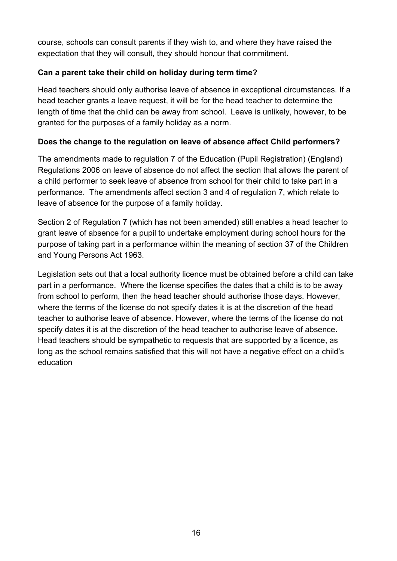course, schools can consult parents if they wish to, and where they have raised the expectation that they will consult, they should honour that commitment.

#### **Can a parent take their child on holiday during term time?**

Head teachers should only authorise leave of absence in exceptional circumstances. If a head teacher grants a leave request, it will be for the head teacher to determine the length of time that the child can be away from school. Leave is unlikely, however, to be granted for the purposes of a family holiday as a norm.

#### **Does the change to the regulation on leave of absence affect Child performers?**

The amendments made to regulation 7 of the Education (Pupil Registration) (England) Regulations 2006 on leave of absence do not affect the section that allows the parent of a child performer to seek leave of absence from school for their child to take part in a performance. The amendments affect section 3 and 4 of regulation 7, which relate to leave of absence for the purpose of a family holiday.

Section 2 of Regulation 7 (which has not been amended) still enables a head teacher to grant leave of absence for a pupil to undertake employment during school hours for the purpose of taking part in a performance within the meaning of section 37 of the Children and Young Persons Act 1963.

Legislation sets out that a local authority licence must be obtained before a child can take part in a performance. Where the license specifies the dates that a child is to be away from school to perform, then the head teacher should authorise those days. However, where the terms of the license do not specify dates it is at the discretion of the head teacher to authorise leave of absence. However, where the terms of the license do not specify dates it is at the discretion of the head teacher to authorise leave of absence. Head teachers should be sympathetic to requests that are supported by a licence, as long as the school remains satisfied that this will not have a negative effect on a child's education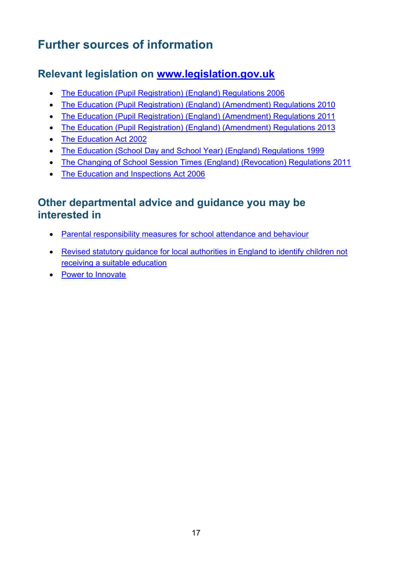# <span id="page-16-0"></span>**Further sources of information**

## <span id="page-16-1"></span>**Relevant legislation on [www.legislation.gov.uk](http://www.legislation.gov.uk/)**

- [The Education \(Pupil Registration\) \(England\) Regulations 2006](http://www.legislation.gov.uk/uksi/2006/1751/contents/made)
- [The Education \(Pupil Registration\) \(England\) \(Amendment\) Regulations 2010](http://www.legislation.gov.uk/uksi/2010/1725/contents/made)
- [The Education \(Pupil Registration\) \(England\) \(Amendment\) Regulations 2011](http://www.legislation.gov.uk/uksi/2011/1625/contents/made)
- [The Education \(Pupil Registration\) \(England\) \(Amendment\) Regulations 2013](http://www.legislation.gov.uk/uksi/2013/756/contents/made)
- [The Education Act 2002](http://www.legislation.gov.uk/ukpga/2002/32/contents)
- [The Education \(School Day and School Year\) \(England\) Regulations 1999](http://www.legislation.gov.uk/uksi/1999/3181/contents/made)
- [The Changing of School Session Times \(England\) \(Revocation\) Regulations 2011](http://www.legislation.gov.uk/uksi/2011/1954/made)
- [The Education and Inspections Act 2006](http://www.legislation.gov.uk/ukpga/2006/40/contents)

## <span id="page-16-2"></span>**Other departmental advice and guidance you may be interested in**

- Parental responsibility measures [for school attendance and behaviour](https://www.education.gov.uk/g00229776/measures-attendance-behaviour)
- [Revised statutory guidance for local authorities in England to identify children not](https://www.education.gov.uk/publications/standard/Integratedworking/Page1/STATUTORY-LA-GUIDE)  [receiving a suitable education](https://www.education.gov.uk/publications/standard/Integratedworking/Page1/STATUTORY-LA-GUIDE)
- [Power to Innovate](http://www.education.gov.uk/schools/leadership/schoolperformance/a0014624/power-to-innovate)